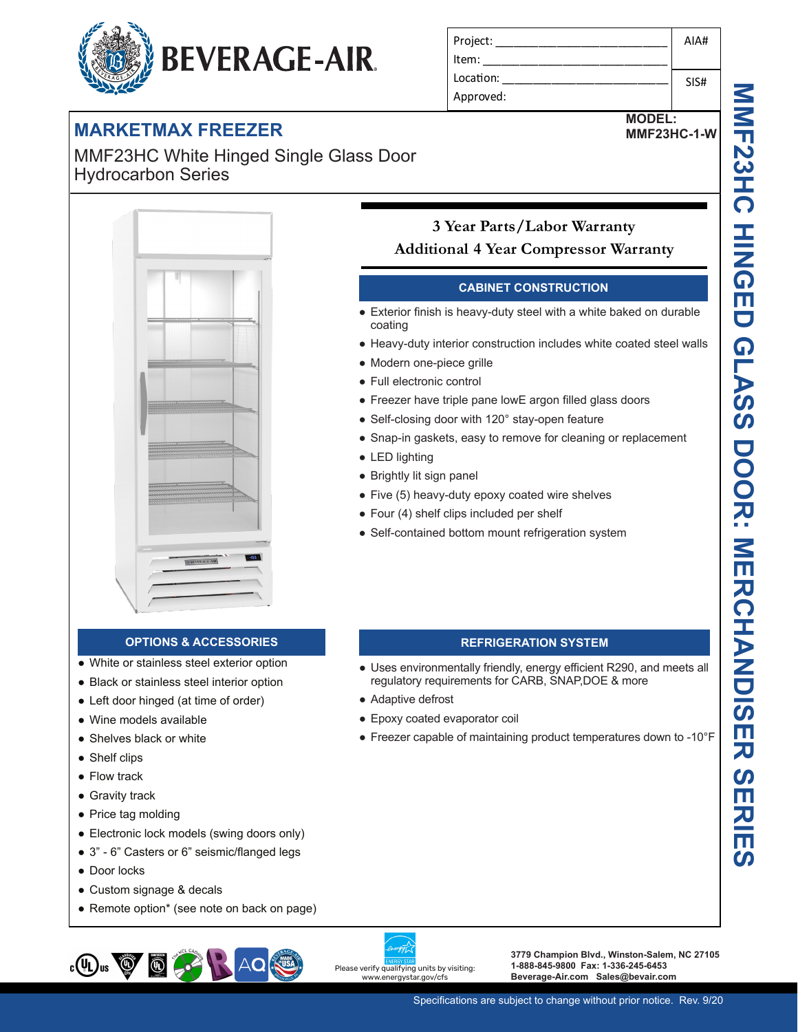# **BEVERAGE-AIR.**

|  |  | <b>MARKETMAX FREEZER</b> |
|--|--|--------------------------|
|  |  |                          |

MMF23HC White Hinged Single Glass Door Hydrocarbon Series



| 3 Year Parts/Labor Warranty                  |  |
|----------------------------------------------|--|
| <b>Additional 4 Year Compressor Warranty</b> |  |

### **CABINET CONSTRUCTION**

- Exterior finish is heavy-duty steel with a white baked on durable coating
- Heavy-duty interior construction includes white coated steel walls
- Modern one-piece grille
- Full electronic control
- Freezer have triple pane lowE argon filled glass doors
- Self-closing door with 120° stay-open feature

Project: Item: Location: Approved:

• Snap-in gaskets, easy to remove for cleaning or replacement

**REFRIGERATION SYSTEM** ● Uses environmentally friendly, energy efficient R290, and meets all

● Freezer capable of maintaining product temperatures down to -10°F

regulatory requirements for CARB, SNAP,DOE & more

- LED lighting
- Brightly lit sign panel

● Adaptive defrost

● Epoxy coated evaporator coil

- Five (5) heavy-duty epoxy coated wire shelves
- Four (4) shelf clips included per shelf
- Self-contained bottom mount refrigeration system

### **OPTIONS & ACCESSORIES**

- White or stainless steel exterior option
- Black or stainless steel interior option
- Left door hinged (at time of order)
- Wine models available
- Shelves black or white
- Shelf clips
- Flow track
- Gravity track
- Price tag molding
- Electronic lock models (swing doors only)
- 3" 6" Casters or 6" seismic/flanged legs
- Door locks
- Custom signage & decals
- Remote option\* (see note on back on page)



Please verify qualifying units by visiting: www.energystar.gov/cfs

**3779 Champion Blvd., Winston-Salem, NC 27105 1-888-845-9800 Fax: 1-336-245-6453 Beverage-Air.com Sales@bevair.com**

AIA#

**MODEL: MMF23HC-1-W**

SIS#